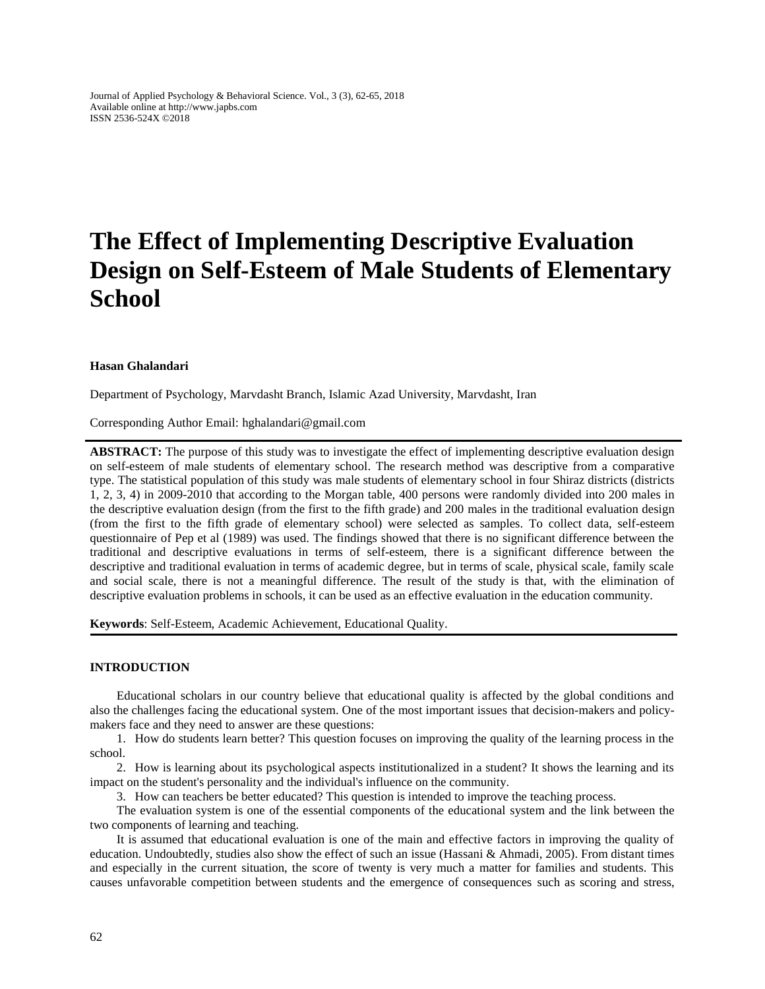Journal of Applied Psychology & Behavioral Science. Vol., 3 (3), 62-65, 2018 Available online at http://www.japbs.com ISSN 2536-524X ©2018

# **The Effect of Implementing Descriptive Evaluation Design on Self-Esteem of Male Students of Elementary School**

#### **Hasan Ghalandari**

Department of Psychology, Marvdasht Branch, Islamic Azad University, Marvdasht, Iran

Corresponding Author Email: hghalandari@gmail.com

**ABSTRACT:** The purpose of this study was to investigate the effect of implementing descriptive evaluation design on self-esteem of male students of elementary school. The research method was descriptive from a comparative type. The statistical population of this study was male students of elementary school in four Shiraz districts (districts 1, 2, 3, 4) in 2009-2010 that according to the Morgan table, 400 persons were randomly divided into 200 males in the descriptive evaluation design (from the first to the fifth grade) and 200 males in the traditional evaluation design (from the first to the fifth grade of elementary school) were selected as samples. To collect data, self-esteem questionnaire of Pep et al (1989) was used. The findings showed that there is no significant difference between the traditional and descriptive evaluations in terms of self-esteem, there is a significant difference between the descriptive and traditional evaluation in terms of academic degree, but in terms of scale, physical scale, family scale and social scale, there is not a meaningful difference. The result of the study is that, with the elimination of descriptive evaluation problems in schools, it can be used as an effective evaluation in the education community.

**Keywords**: Self-Esteem, Academic Achievement, Educational Quality.

#### **INTRODUCTION**

Educational scholars in our country believe that educational quality is affected by the global conditions and also the challenges facing the educational system. One of the most important issues that decision-makers and policymakers face and they need to answer are these questions:

1. How do students learn better? This question focuses on improving the quality of the learning process in the school.

2. How is learning about its psychological aspects institutionalized in a student? It shows the learning and its impact on the student's personality and the individual's influence on the community.

3. How can teachers be better educated? This question is intended to improve the teaching process.

The evaluation system is one of the essential components of the educational system and the link between the two components of learning and teaching.

It is assumed that educational evaluation is one of the main and effective factors in improving the quality of education. Undoubtedly, studies also show the effect of such an issue (Hassani & Ahmadi, 2005). From distant times and especially in the current situation, the score of twenty is very much a matter for families and students. This causes unfavorable competition between students and the emergence of consequences such as scoring and stress,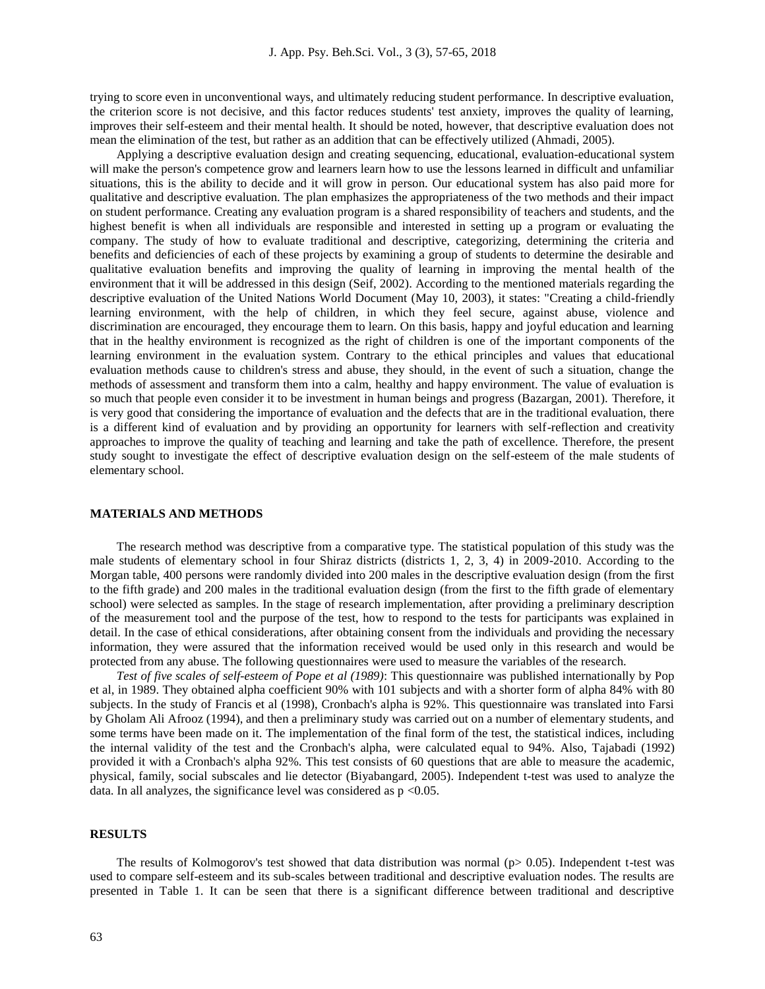trying to score even in unconventional ways, and ultimately reducing student performance. In descriptive evaluation, the criterion score is not decisive, and this factor reduces students' test anxiety, improves the quality of learning, improves their self-esteem and their mental health. It should be noted, however, that descriptive evaluation does not mean the elimination of the test, but rather as an addition that can be effectively utilized (Ahmadi, 2005).

Applying a descriptive evaluation design and creating sequencing, educational, evaluation-educational system will make the person's competence grow and learners learn how to use the lessons learned in difficult and unfamiliar situations, this is the ability to decide and it will grow in person. Our educational system has also paid more for qualitative and descriptive evaluation. The plan emphasizes the appropriateness of the two methods and their impact on student performance. Creating any evaluation program is a shared responsibility of teachers and students, and the highest benefit is when all individuals are responsible and interested in setting up a program or evaluating the company. The study of how to evaluate traditional and descriptive, categorizing, determining the criteria and benefits and deficiencies of each of these projects by examining a group of students to determine the desirable and qualitative evaluation benefits and improving the quality of learning in improving the mental health of the environment that it will be addressed in this design (Seif, 2002). According to the mentioned materials regarding the descriptive evaluation of the United Nations World Document (May 10, 2003), it states: "Creating a child-friendly learning environment, with the help of children, in which they feel secure, against abuse, violence and discrimination are encouraged, they encourage them to learn. On this basis, happy and joyful education and learning that in the healthy environment is recognized as the right of children is one of the important components of the learning environment in the evaluation system. Contrary to the ethical principles and values that educational evaluation methods cause to children's stress and abuse, they should, in the event of such a situation, change the methods of assessment and transform them into a calm, healthy and happy environment. The value of evaluation is so much that people even consider it to be investment in human beings and progress (Bazargan, 2001). Therefore, it is very good that considering the importance of evaluation and the defects that are in the traditional evaluation, there is a different kind of evaluation and by providing an opportunity for learners with self-reflection and creativity approaches to improve the quality of teaching and learning and take the path of excellence. Therefore, the present study sought to investigate the effect of descriptive evaluation design on the self-esteem of the male students of elementary school.

### **MATERIALS AND METHODS**

The research method was descriptive from a comparative type. The statistical population of this study was the male students of elementary school in four Shiraz districts (districts 1, 2, 3, 4) in 2009-2010. According to the Morgan table, 400 persons were randomly divided into 200 males in the descriptive evaluation design (from the first to the fifth grade) and 200 males in the traditional evaluation design (from the first to the fifth grade of elementary school) were selected as samples. In the stage of research implementation, after providing a preliminary description of the measurement tool and the purpose of the test, how to respond to the tests for participants was explained in detail. In the case of ethical considerations, after obtaining consent from the individuals and providing the necessary information, they were assured that the information received would be used only in this research and would be protected from any abuse. The following questionnaires were used to measure the variables of the research.

*Test of five scales of self-esteem of Pope et al (1989)*: This questionnaire was published internationally by Pop et al, in 1989. They obtained alpha coefficient 90% with 101 subjects and with a shorter form of alpha 84% with 80 subjects. In the study of Francis et al (1998), Cronbach's alpha is 92%. This questionnaire was translated into Farsi by Gholam Ali Afrooz (1994), and then a preliminary study was carried out on a number of elementary students, and some terms have been made on it. The implementation of the final form of the test, the statistical indices, including the internal validity of the test and the Cronbach's alpha, were calculated equal to 94%. Also, Tajabadi (1992) provided it with a Cronbach's alpha 92%. This test consists of 60 questions that are able to measure the academic, physical, family, social subscales and lie detector (Biyabangard, 2005). Independent t-test was used to analyze the data. In all analyzes, the significance level was considered as  $p \le 0.05$ .

#### **RESULTS**

The results of Kolmogorov's test showed that data distribution was normal ( $p$  = 0.05). Independent t-test was used to compare self-esteem and its sub-scales between traditional and descriptive evaluation nodes. The results are presented in Table 1. It can be seen that there is a significant difference between traditional and descriptive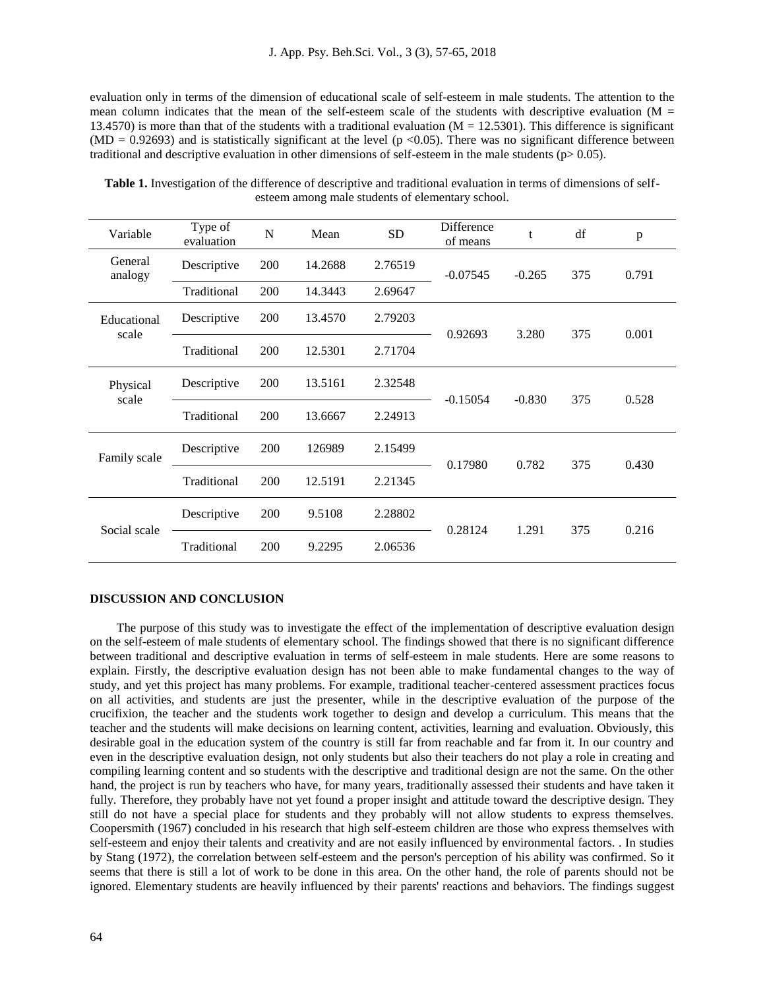evaluation only in terms of the dimension of educational scale of self-esteem in male students. The attention to the mean column indicates that the mean of the self-esteem scale of the students with descriptive evaluation ( $M =$ 13.4570) is more than that of the students with a traditional evaluation  $(M = 12.5301)$ . This difference is significant (MD = 0.92693) and is statistically significant at the level (p <0.05). There was no significant difference between traditional and descriptive evaluation in other dimensions of self-esteem in the male students ( $p>0.05$ ).

| Variable             | Type of<br>evaluation | N   | Mean    | <b>SD</b> | <b>Difference</b><br>of means | t        | df  | p     |
|----------------------|-----------------------|-----|---------|-----------|-------------------------------|----------|-----|-------|
| General<br>analogy   | Descriptive           | 200 | 14.2688 | 2.76519   | $-0.07545$                    | $-0.265$ | 375 | 0.791 |
|                      | Traditional           | 200 | 14.3443 | 2.69647   |                               |          |     |       |
| Educational<br>scale | Descriptive           | 200 | 13.4570 | 2.79203   | 0.92693                       | 3.280    | 375 | 0.001 |
|                      | Traditional           | 200 | 12.5301 | 2.71704   |                               |          |     |       |
| Physical<br>scale    | Descriptive           | 200 | 13.5161 | 2.32548   | $-0.15054$                    | $-0.830$ | 375 | 0.528 |
|                      | Traditional           | 200 | 13.6667 | 2.24913   |                               |          |     |       |
| Family scale         | Descriptive           | 200 | 126989  | 2.15499   | 0.17980                       | 0.782    | 375 | 0.430 |
|                      | Traditional           | 200 | 12.5191 | 2.21345   |                               |          |     |       |
| Social scale         | Descriptive           | 200 | 9.5108  | 2.28802   | 0.28124                       | 1.291    | 375 | 0.216 |
|                      | Traditional           | 200 | 9.2295  | 2.06536   |                               |          |     |       |

**Table 1.** Investigation of the difference of descriptive and traditional evaluation in terms of dimensions of selfesteem among male students of elementary school.

## **DISCUSSION AND CONCLUSION**

The purpose of this study was to investigate the effect of the implementation of descriptive evaluation design on the self-esteem of male students of elementary school. The findings showed that there is no significant difference between traditional and descriptive evaluation in terms of self-esteem in male students. Here are some reasons to explain. Firstly, the descriptive evaluation design has not been able to make fundamental changes to the way of study, and yet this project has many problems. For example, traditional teacher-centered assessment practices focus on all activities, and students are just the presenter, while in the descriptive evaluation of the purpose of the crucifixion, the teacher and the students work together to design and develop a curriculum. This means that the teacher and the students will make decisions on learning content, activities, learning and evaluation. Obviously, this desirable goal in the education system of the country is still far from reachable and far from it. In our country and even in the descriptive evaluation design, not only students but also their teachers do not play a role in creating and compiling learning content and so students with the descriptive and traditional design are not the same. On the other hand, the project is run by teachers who have, for many years, traditionally assessed their students and have taken it fully. Therefore, they probably have not yet found a proper insight and attitude toward the descriptive design. They still do not have a special place for students and they probably will not allow students to express themselves. Coopersmith (1967) concluded in his research that high self-esteem children are those who express themselves with self-esteem and enjoy their talents and creativity and are not easily influenced by environmental factors. . In studies by Stang (1972), the correlation between self-esteem and the person's perception of his ability was confirmed. So it seems that there is still a lot of work to be done in this area. On the other hand, the role of parents should not be ignored. Elementary students are heavily influenced by their parents' reactions and behaviors. The findings suggest